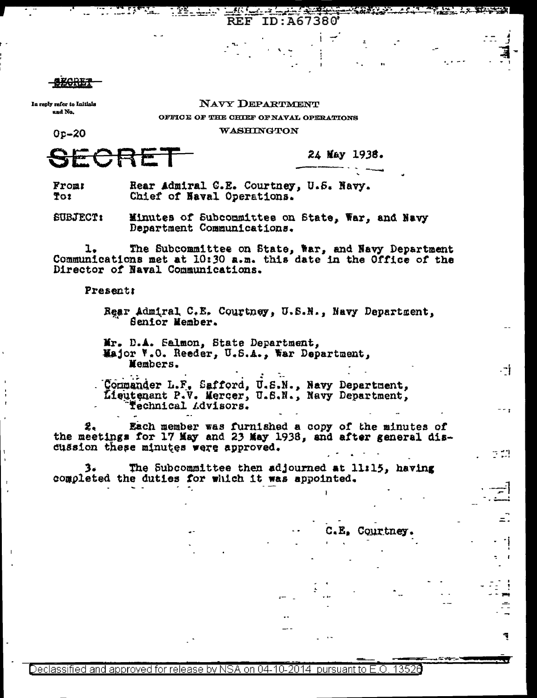In reply refer to Initials and No.

## NAVY DEPARTMENT

**WASHINGTON** 

ID:A67380

OFFICE OF THE CHIEF OF NAVAL OPERATIONS

**REF** 

Op-20

24 May 1938.

Rear Admiral C.E. Courtney, U.S. Navy. Front To: Chief of Naval Operations.

**SUBJECT:** Minutes of Subcommittee on State, War, and Navy Department Communications.

The Subcommittee on State, War, and Navy Department ı. Communications met at 10:30 a.m. this date in the Office of the Director of Naval Communications.

**Present:** 

Rear Admiral C.E. Courtney, U.S.N., Navy Department. Senior Member.

Mr. D.A. Salmon, State Department, Major F.O. Reeder, U.S.A., War Department, Members.

Commander L.F. Safford, U.S.N., Navy Department, Technical Advisors.

Each member was furnished a copy of the minutes of z. the meetings for 17 May and 23 May 1938, and after general discussion these minutes were approved.

3. The Subcommittee then adjourned at 11:15, having completed the duties for which it was appointed.

> $C.E.$ Courtney

.−i

E M

Declassified and approved for release by NSA on 04-10-2014 pursuant to E.O. 13526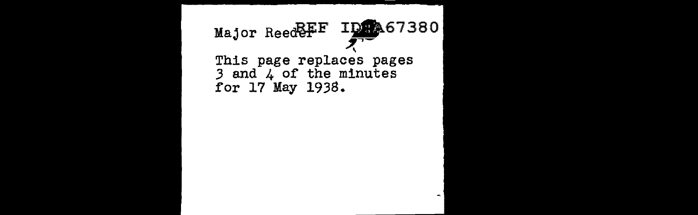## Major Reed FF ID 467380 \ This page replaces pages 3 and 4 of the minutes for 17 May 1938.

 $\sim$